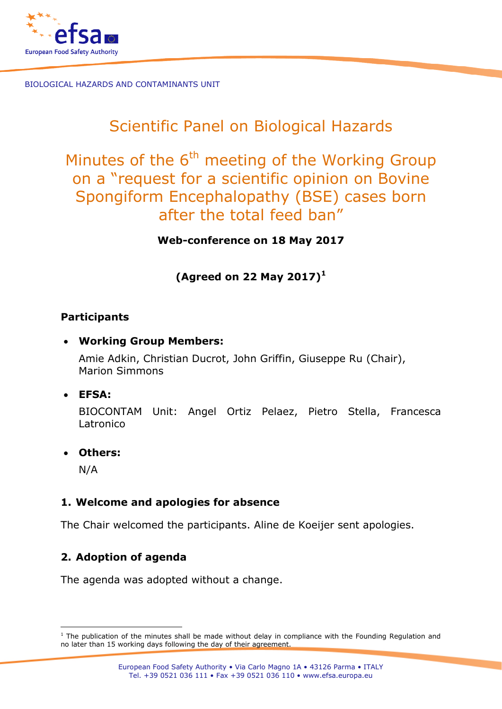

# Scientific Panel on Biological Hazards

Minutes of the  $6<sup>th</sup>$  meeting of the Working Group on a "request for a scientific opinion on Bovine Spongiform Encephalopathy (BSE) cases born after the total feed ban"

**Web-conference on 18 May 2017**

**(Agreed on 22 May 2017)<sup>1</sup>**

#### **Participants**

• **Working Group Members:**

Amie Adkin, Christian Ducrot, John Griffin, Giuseppe Ru (Chair), Marion Simmons

• **EFSA:**

BIOCONTAM Unit: Angel Ortiz Pelaez, Pietro Stella, Francesca Latronico

• **Others:**

N/A

## **1. Welcome and apologies for absence**

The Chair welcomed the participants. Aline de Koeijer sent apologies.

## **2. Adoption of agenda**

The agenda was adopted without a change.

 $1$  The publication of the minutes shall be made without delay in compliance with the Founding Regulation and no later than 15 working days following the day of their agreement.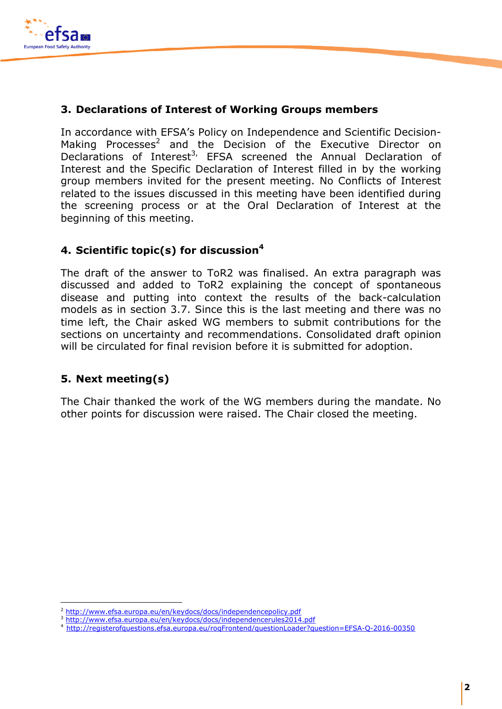

In accordance with EFSA's Policy on Independence and Scientific Decision-Making Processes<sup>2</sup> and the Decision of the Executive Director on Declarations of Interest<sup>3,</sup> EFSA screened the Annual Declaration of Interest and the Specific Declaration of Interest filled in by the working group members invited for the present meeting. No Conflicts of Interest related to the issues discussed in this meeting have been identified during the screening process or at the Oral Declaration of Interest at the beginning of this meeting.

#### **4. Scientific topic(s) for discussion<sup>4</sup>**

The draft of the answer to ToR2 was finalised. An extra paragraph was discussed and added to ToR2 explaining the concept of spontaneous disease and putting into context the results of the back-calculation models as in section 3.7. Since this is the last meeting and there was no time left, the Chair asked WG members to submit contributions for the sections on uncertainty and recommendations. Consolidated draft opinion will be circulated for final revision before it is submitted for adoption.

## **5. Next meeting(s)**

The Chair thanked the work of the WG members during the mandate. No other points for discussion were raised. The Chair closed the meeting.

<sup>&</sup>lt;sup>2</sup> http://www.efsa.europa.eu/en/keydocs/docs/independencepolicy.pdf

<sup>3</sup> http://www.efsa.europa.eu/en/keydocs/docs/independencerules2014.pdf

<sup>4</sup> http://registerofquestions.efsa.europa.eu/roqFrontend/questionLoader?question=EFSA-Q-2016-00350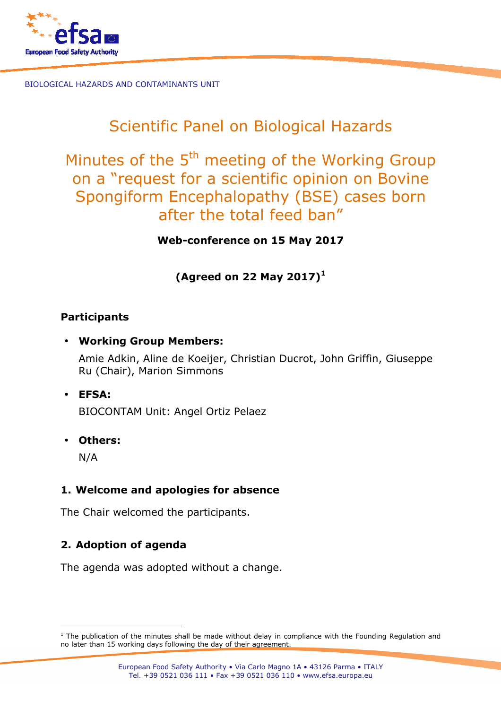

# Scientific Panel on Biological Hazards

Minutes of the 5<sup>th</sup> meeting of the Working Group on a "request for a scientific opinion on Bovine Spongiform Encephalopathy (BSE) cases born after the total feed ban"

**Web-conference on 15 May 2017** 

**(Agreed on 22 May 2017)<sup>1</sup>**

#### **Participants**

• **Working Group Members:** 

Amie Adkin, Aline de Koeijer, Christian Ducrot, John Griffin, Giuseppe Ru (Chair), Marion Simmons

• **EFSA:** 

BIOCONTAM Unit: Angel Ortiz Pelaez

• **Others:** 

N/A

l

# **1. Welcome and apologies for absence**

The Chair welcomed the participants.

# **2. Adoption of agenda**

The agenda was adopted without a change.

<sup>&</sup>lt;sup>1</sup> The publication of the minutes shall be made without delay in compliance with the Founding Regulation and no later than 15 working days following the day of their agreement.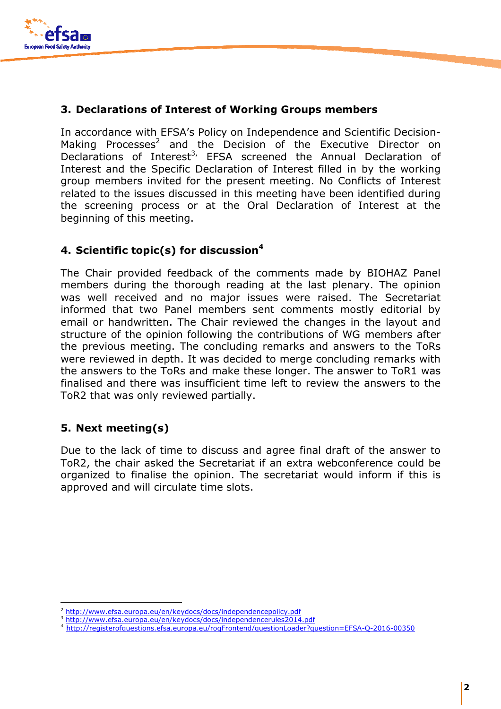

In accordance with EFSA's Policy on Independence and Scientific Decision-Making Processes<sup>2</sup> and the Decision of the Executive Director on Declarations of Interest<sup>3,</sup> EFSA screened the Annual Declaration of Interest and the Specific Declaration of Interest filled in by the working group members invited for the present meeting. No Conflicts of Interest related to the issues discussed in this meeting have been identified during the screening process or at the Oral Declaration of Interest at the beginning of this meeting.

#### **4. Scientific topic(s) for discussion<sup>4</sup>**

The Chair provided feedback of the comments made by BIOHAZ Panel members during the thorough reading at the last plenary. The opinion was well received and no major issues were raised. The Secretariat informed that two Panel members sent comments mostly editorial by email or handwritten. The Chair reviewed the changes in the layout and structure of the opinion following the contributions of WG members after the previous meeting. The concluding remarks and answers to the ToRs were reviewed in depth. It was decided to merge concluding remarks with the answers to the ToRs and make these longer. The answer to ToR1 was finalised and there was insufficient time left to review the answers to the ToR2 that was only reviewed partially.

## **5. Next meeting(s)**

1

Due to the lack of time to discuss and agree final draft of the answer to ToR2, the chair asked the Secretariat if an extra webconference could be organized to finalise the opinion. The secretariat would inform if this is approved and will circulate time slots.

<sup>2</sup> http://www.efsa.europa.eu/en/keydocs/docs/independencepolicy.pdf

<sup>3</sup> http://www.efsa.europa.eu/en/keydocs/docs/independencerules2014.pdf

<sup>4</sup>http://registerofquestions.efsa.europa.eu/roqFrontend/questionLoader?question=EFSA-Q-2016-00350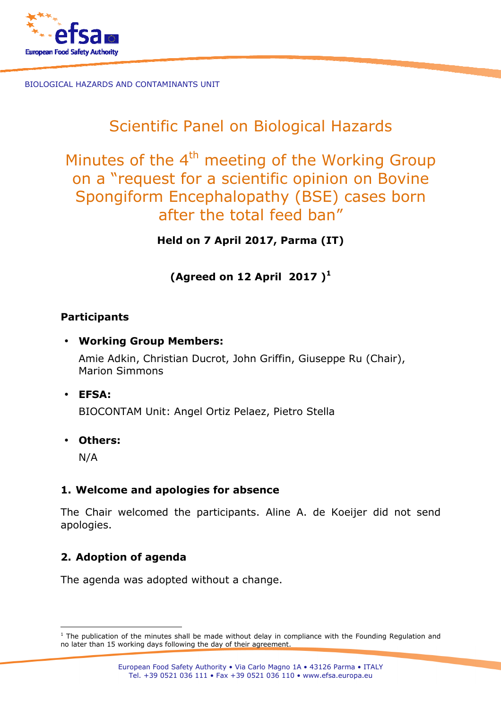

# Scientific Panel on Biological Hazards

Minutes of the  $4<sup>th</sup>$  meeting of the Working Group on a "request for a scientific opinion on Bovine Spongiform Encephalopathy (BSE) cases born after the total feed ban"

**Held on 7 April 2017, Parma (IT)** 

**(Agreed on 12 April 2017 )<sup>1</sup>**

#### **Participants**

• **Working Group Members:** 

Amie Adkin, Christian Ducrot, John Griffin, Giuseppe Ru (Chair), Marion Simmons

• **EFSA:** 

BIOCONTAM Unit: Angel Ortiz Pelaez, Pietro Stella

• **Others:** 

N/A

## **1. Welcome and apologies for absence**

The Chair welcomed the participants. Aline A. de Koeijer did not send apologies.

# **2. Adoption of agenda**

The agenda was adopted without a change.

 1 The publication of the minutes shall be made without delay in compliance with the Founding Regulation and no later than 15 working days following the day of their agreement.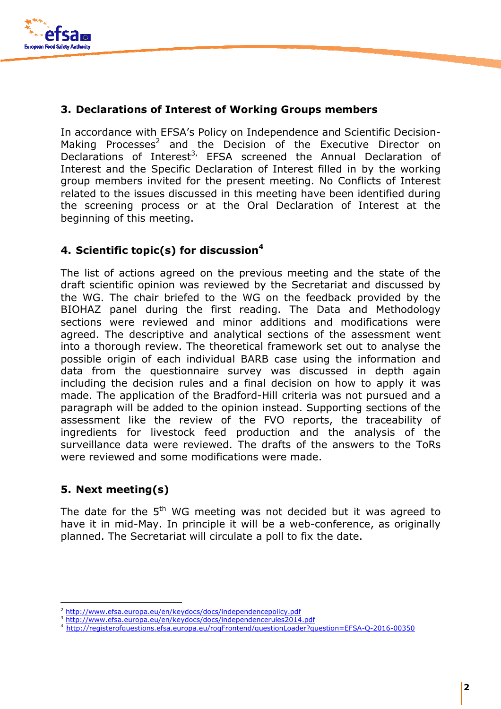

In accordance with EFSA's Policy on Independence and Scientific Decision-Making Processes<sup>2</sup> and the Decision of the Executive Director on Declarations of Interest<sup>3,</sup> EFSA screened the Annual Declaration of Interest and the Specific Declaration of Interest filled in by the working group members invited for the present meeting. No Conflicts of Interest related to the issues discussed in this meeting have been identified during the screening process or at the Oral Declaration of Interest at the beginning of this meeting.

## **4. Scientific topic(s) for discussion<sup>4</sup>**

The list of actions agreed on the previous meeting and the state of the draft scientific opinion was reviewed by the Secretariat and discussed by the WG. The chair briefed to the WG on the feedback provided by the BIOHAZ panel during the first reading. The Data and Methodology sections were reviewed and minor additions and modifications were agreed. The descriptive and analytical sections of the assessment went into a thorough review. The theoretical framework set out to analyse the possible origin of each individual BARB case using the information and data from the questionnaire survey was discussed in depth again including the decision rules and a final decision on how to apply it was made. The application of the Bradford-Hill criteria was not pursued and a paragraph will be added to the opinion instead. Supporting sections of the assessment like the review of the FVO reports, the traceability of ingredients for livestock feed production and the analysis of the surveillance data were reviewed. The drafts of the answers to the ToRs were reviewed and some modifications were made.

## **5. Next meeting(s)**

1

The date for the 5<sup>th</sup> WG meeting was not decided but it was agreed to have it in mid-May. In principle it will be a web-conference, as originally planned. The Secretariat will circulate a poll to fix the date.

<sup>2</sup> http://www.efsa.europa.eu/en/keydocs/docs/independencepolicy.pdf

<sup>3</sup> http://www.efsa.europa.eu/en/keydocs/docs/independencerules2014.pdf

<sup>4</sup>http://registerofquestions.efsa.europa.eu/roqFrontend/questionLoader?question=EFSA-Q-2016-00350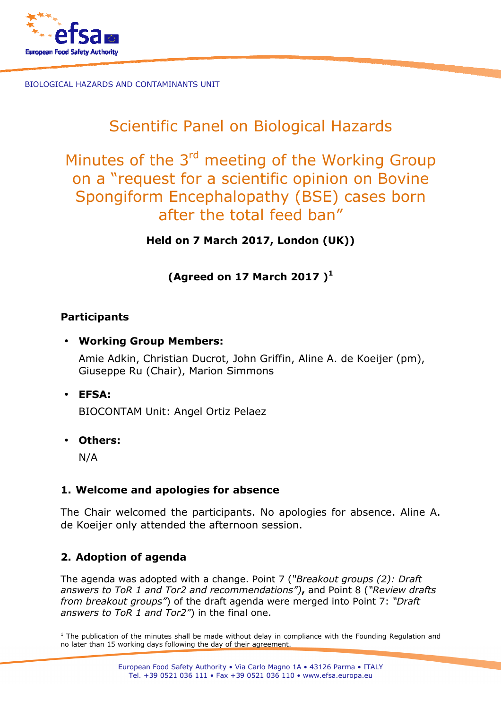

# Scientific Panel on Biological Hazards

Minutes of the 3<sup>rd</sup> meeting of the Working Group on a "request for a scientific opinion on Bovine Spongiform Encephalopathy (BSE) cases born after the total feed ban"

**Held on 7 March 2017, London (UK))** 

**(Agreed on 17 March 2017 )<sup>1</sup>**

#### **Participants**

• **Working Group Members:** 

Amie Adkin, Christian Ducrot, John Griffin, Aline A. de Koeijer (pm), Giuseppe Ru (Chair), Marion Simmons

• **EFSA:** 

BIOCONTAM Unit: Angel Ortiz Pelaez

• **Others:** 

N/A

## **1. Welcome and apologies for absence**

The Chair welcomed the participants. No apologies for absence. Aline A. de Koeijer only attended the afternoon session.

## **2. Adoption of agenda**

The agenda was adopted with a change. Point 7 (*"Breakout groups (2): Draft answers to ToR 1 and Tor2 and recommendations")***,** and Point 8 (*"Review drafts from breakout groups"*) of the draft agenda were merged into Point 7: *"Draft answers to ToR 1 and Tor2"*) in the final one.

l <sup>1</sup> The publication of the minutes shall be made without delay in compliance with the Founding Regulation and no later than 15 working days following the day of their agreement.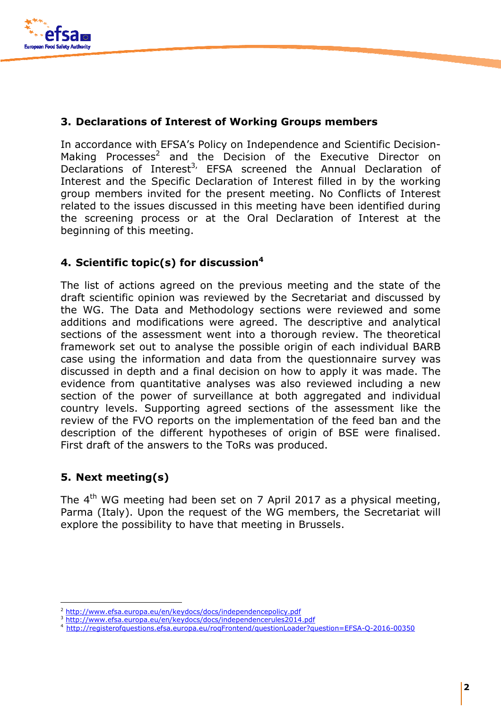

In accordance with EFSA's Policy on Independence and Scientific Decision-Making Processes<sup>2</sup> and the Decision of the Executive Director on Declarations of Interest<sup>3,</sup> EFSA screened the Annual Declaration of Interest and the Specific Declaration of Interest filled in by the working group members invited for the present meeting. No Conflicts of Interest related to the issues discussed in this meeting have been identified during the screening process or at the Oral Declaration of Interest at the beginning of this meeting.

## **4. Scientific topic(s) for discussion<sup>4</sup>**

The list of actions agreed on the previous meeting and the state of the draft scientific opinion was reviewed by the Secretariat and discussed by the WG. The Data and Methodology sections were reviewed and some additions and modifications were agreed. The descriptive and analytical sections of the assessment went into a thorough review. The theoretical framework set out to analyse the possible origin of each individual BARB case using the information and data from the questionnaire survey was discussed in depth and a final decision on how to apply it was made. The evidence from quantitative analyses was also reviewed including a new section of the power of surveillance at both aggregated and individual country levels. Supporting agreed sections of the assessment like the review of the FVO reports on the implementation of the feed ban and the description of the different hypotheses of origin of BSE were finalised. First draft of the answers to the ToRs was produced.

## **5. Next meeting(s)**

1

The  $4<sup>th</sup>$  WG meeting had been set on 7 April 2017 as a physical meeting, Parma (Italy). Upon the request of the WG members, the Secretariat will explore the possibility to have that meeting in Brussels.

<sup>2</sup> http://www.efsa.europa.eu/en/keydocs/docs/independencepolicy.pdf

<sup>3</sup> http://www.efsa.europa.eu/en/keydocs/docs/independencerules2014.pdf

<sup>4</sup>http://registerofquestions.efsa.europa.eu/roqFrontend/questionLoader?question=EFSA-Q-2016-00350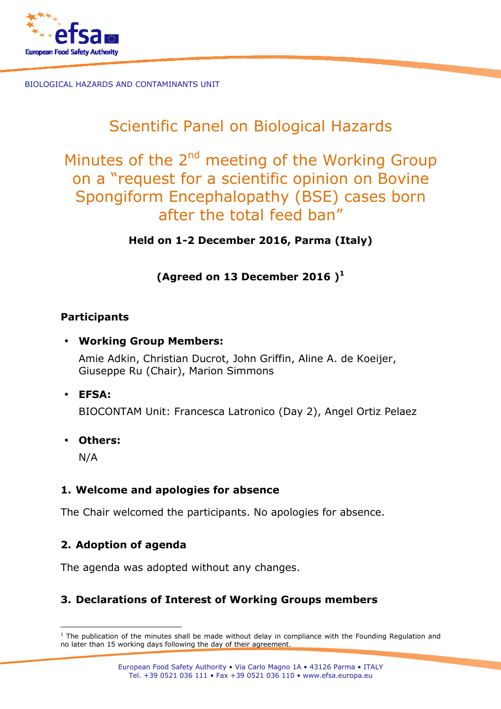

# Scientific Panel on Biological Hazards

Minutes of the 2<sup>nd</sup> meeting of the Working Group on a "request for a scientific opinion on Bovine Spongiform Encephalopathy (BSE) cases born after the total feed ban"

**Held on 1-2 December 2016, Parma (Italy)** 

# **(Agreed on 13 December 2016 )<sup>1</sup>**

#### **Participants**

• **Working Group Members:** 

Amie Adkin, Christian Ducrot, John Griffin, Aline A. de Koeijer, Giuseppe Ru (Chair), Marion Simmons

• **EFSA:** 

BIOCONTAM Unit: Francesca Latronico (Day 2), Angel Ortiz Pelaez

• **Others:** 

N/A

## **1. Welcome and apologies for absence**

The Chair welcomed the participants. No apologies for absence.

# **2. Adoption of agenda**

The agenda was adopted without any changes.

# **3. Declarations of Interest of Working Groups members**

l <sup>1</sup> The publication of the minutes shall be made without delay in compliance with the Founding Regulation and no later than 15 working days following the day of their agreement.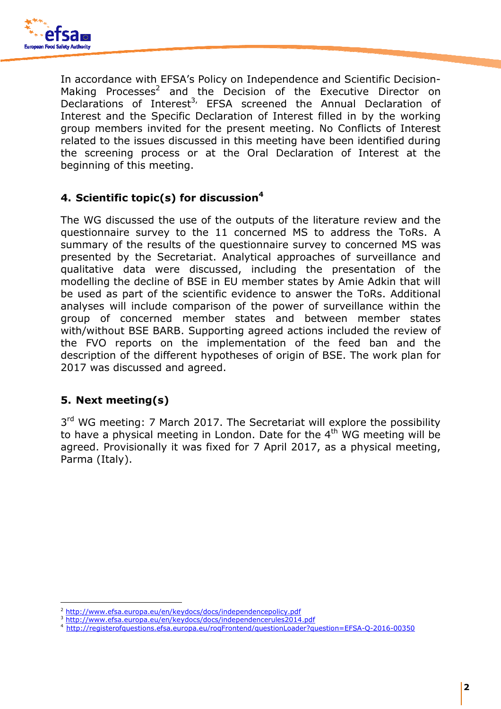

In accordance with EFSA's Policy on Independence and Scientific Decision-Making Processes<sup>2</sup> and the Decision of the Executive Director on Declarations of Interest<sup>3,</sup> EFSA screened the Annual Declaration of Interest and the Specific Declaration of Interest filled in by the working group members invited for the present meeting. No Conflicts of Interest related to the issues discussed in this meeting have been identified during the screening process or at the Oral Declaration of Interest at the beginning of this meeting.

## **4. Scientific topic(s) for discussion<sup>4</sup>**

The WG discussed the use of the outputs of the literature review and the questionnaire survey to the 11 concerned MS to address the ToRs. A summary of the results of the questionnaire survey to concerned MS was presented by the Secretariat. Analytical approaches of surveillance and qualitative data were discussed, including the presentation of the modelling the decline of BSE in EU member states by Amie Adkin that will be used as part of the scientific evidence to answer the ToRs. Additional analyses will include comparison of the power of surveillance within the group of concerned member states and between member states with/without BSE BARB. Supporting agreed actions included the review of the FVO reports on the implementation of the feed ban and the description of the different hypotheses of origin of BSE. The work plan for 2017 was discussed and agreed.

## **5. Next meeting(s)**

1

3<sup>rd</sup> WG meeting: 7 March 2017. The Secretariat will explore the possibility to have a physical meeting in London. Date for the 4<sup>th</sup> WG meeting will be agreed. Provisionally it was fixed for 7 April 2017, as a physical meeting, Parma (Italy).

<sup>2</sup> http://www.efsa.europa.eu/en/keydocs/docs/independencepolicy.pdf

<sup>3</sup> http://www.efsa.europa.eu/en/keydocs/docs/independencerules2014.pdf

<sup>4</sup>http://registerofquestions.efsa.europa.eu/roqFrontend/questionLoader?question=EFSA-Q-2016-00350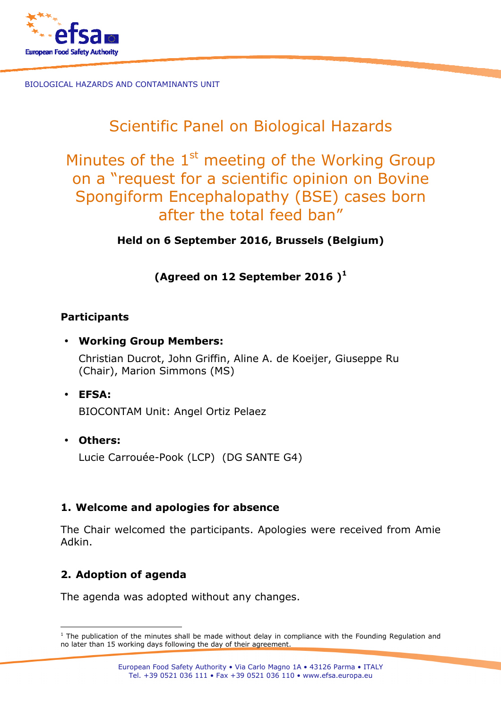

# Scientific Panel on Biological Hazards

Minutes of the  $1<sup>st</sup>$  meeting of the Working Group on a "request for a scientific opinion on Bovine Spongiform Encephalopathy (BSE) cases born after the total feed ban"

**Held on 6 September 2016, Brussels (Belgium)** 

**(Agreed on 12 September 2016 )<sup>1</sup>**

#### **Participants**

• **Working Group Members:** 

Christian Ducrot, John Griffin, Aline A. de Koeijer, Giuseppe Ru (Chair), Marion Simmons (MS)

• **EFSA:** 

BIOCONTAM Unit: Angel Ortiz Pelaez

• **Others:** 

l

Lucie Carrouée-Pook (LCP) (DG SANTE G4)

#### **1. Welcome and apologies for absence**

The Chair welcomed the participants. Apologies were received from Amie Adkin.

# **2. Adoption of agenda**

The agenda was adopted without any changes.

<sup>&</sup>lt;sup>1</sup> The publication of the minutes shall be made without delay in compliance with the Founding Regulation and no later than 15 working days following the day of their agreement.